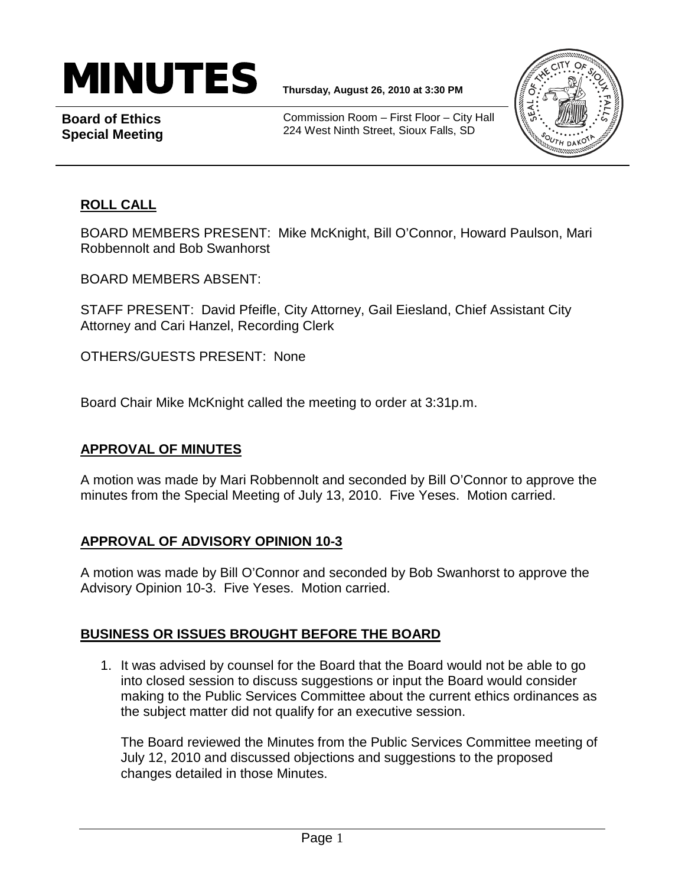

**Board of Ethics Special Meeting**

Commission Room – First Floor – City Hall 224 West Ninth Street, Sioux Falls, SD



## **ROLL CALL**

BOARD MEMBERS PRESENT: Mike McKnight, Bill O'Connor, Howard Paulson, Mari Robbennolt and Bob Swanhorst

BOARD MEMBERS ABSENT:

STAFF PRESENT: David Pfeifle, City Attorney, Gail Eiesland, Chief Assistant City Attorney and Cari Hanzel, Recording Clerk

OTHERS/GUESTS PRESENT: None

Board Chair Mike McKnight called the meeting to order at 3:31p.m.

#### **APPROVAL OF MINUTES**

A motion was made by Mari Robbennolt and seconded by Bill O'Connor to approve the minutes from the Special Meeting of July 13, 2010. Five Yeses. Motion carried.

### **APPROVAL OF ADVISORY OPINION 10-3**

A motion was made by Bill O'Connor and seconded by Bob Swanhorst to approve the Advisory Opinion 10-3. Five Yeses. Motion carried.

### **BUSINESS OR ISSUES BROUGHT BEFORE THE BOARD**

1. It was advised by counsel for the Board that the Board would not be able to go into closed session to discuss suggestions or input the Board would consider making to the Public Services Committee about the current ethics ordinances as the subject matter did not qualify for an executive session.

The Board reviewed the Minutes from the Public Services Committee meeting of July 12, 2010 and discussed objections and suggestions to the proposed changes detailed in those Minutes.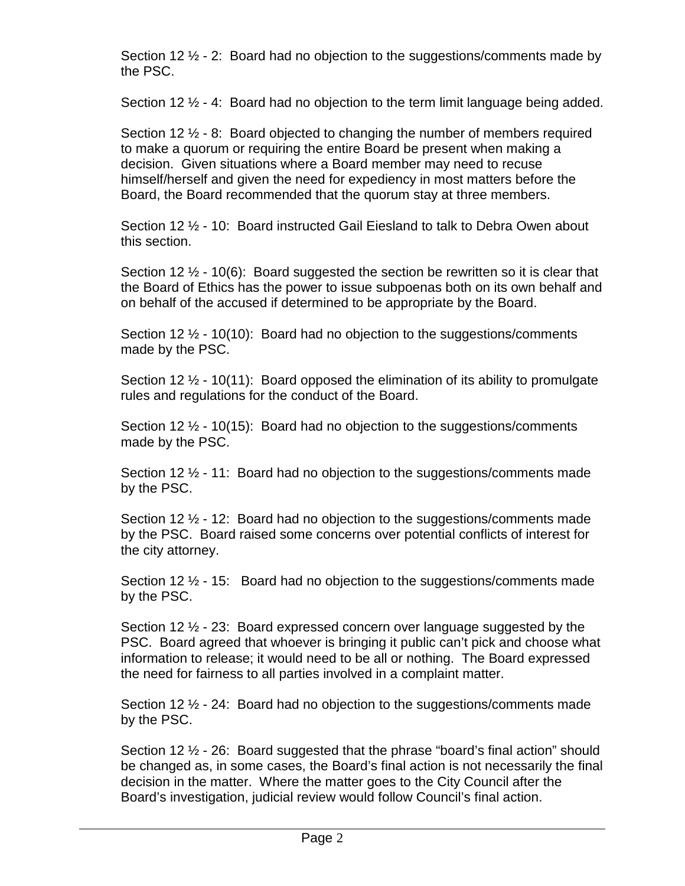Section 12  $\frac{1}{2}$  - 2: Board had no objection to the suggestions/comments made by the PSC.

Section 12 ½ - 4: Board had no objection to the term limit language being added.

Section 12  $\frac{1}{2}$  - 8: Board objected to changing the number of members required to make a quorum or requiring the entire Board be present when making a decision. Given situations where a Board member may need to recuse himself/herself and given the need for expediency in most matters before the Board, the Board recommended that the quorum stay at three members.

Section 12 ½ - 10: Board instructed Gail Eiesland to talk to Debra Owen about this section.

Section 12  $\frac{1}{2}$  - 10(6): Board suggested the section be rewritten so it is clear that the Board of Ethics has the power to issue subpoenas both on its own behalf and on behalf of the accused if determined to be appropriate by the Board.

Section 12  $\frac{1}{2}$  - 10(10): Board had no objection to the suggestions/comments made by the PSC.

Section 12  $\frac{1}{2}$  - 10(11): Board opposed the elimination of its ability to promulgate rules and regulations for the conduct of the Board.

Section 12  $\frac{1}{2}$  - 10(15): Board had no objection to the suggestions/comments made by the PSC.

Section 12 ½ - 11: Board had no objection to the suggestions/comments made by the PSC.

Section 12  $\frac{1}{2}$  - 12: Board had no objection to the suggestions/comments made by the PSC. Board raised some concerns over potential conflicts of interest for the city attorney.

Section 12  $\frac{1}{2}$  - 15: Board had no objection to the suggestions/comments made by the PSC.

Section 12 ½ - 23: Board expressed concern over language suggested by the PSC. Board agreed that whoever is bringing it public can't pick and choose what information to release; it would need to be all or nothing. The Board expressed the need for fairness to all parties involved in a complaint matter.

Section 12  $\frac{1}{2}$  - 24: Board had no objection to the suggestions/comments made by the PSC.

Section 12 ½ - 26: Board suggested that the phrase "board's final action" should be changed as, in some cases, the Board's final action is not necessarily the final decision in the matter. Where the matter goes to the City Council after the Board's investigation, judicial review would follow Council's final action.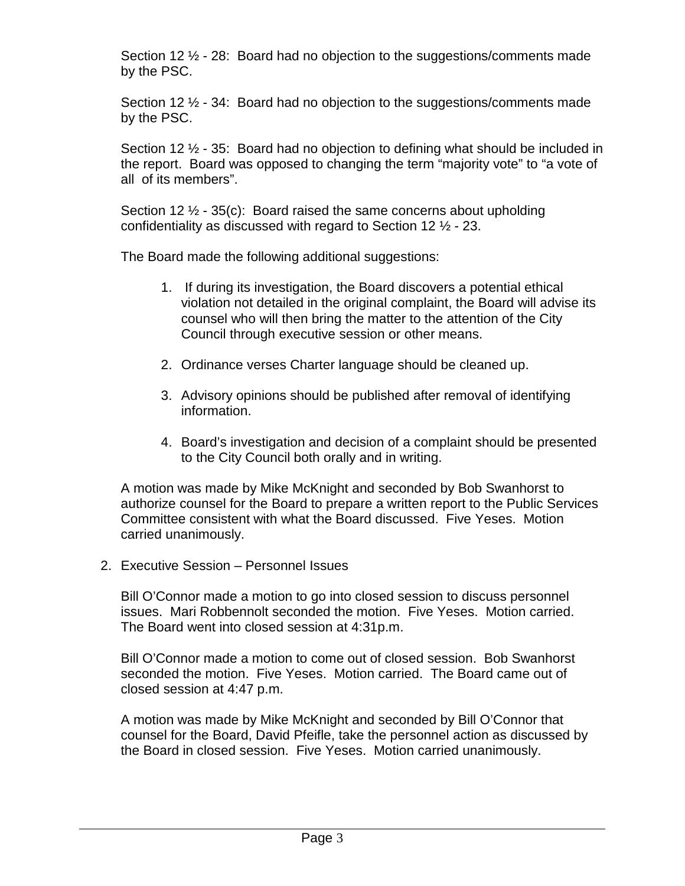Section 12  $\frac{1}{2}$  - 28: Board had no objection to the suggestions/comments made by the PSC.

Section 12 ½ - 34: Board had no objection to the suggestions/comments made by the PSC.

Section 12 ½ - 35: Board had no objection to defining what should be included in the report. Board was opposed to changing the term "majority vote" to "a vote of all of its members".

Section 12  $\frac{1}{2}$  - 35(c): Board raised the same concerns about upholding confidentiality as discussed with regard to Section 12 ½ - 23.

The Board made the following additional suggestions:

- 1. If during its investigation, the Board discovers a potential ethical violation not detailed in the original complaint, the Board will advise its counsel who will then bring the matter to the attention of the City Council through executive session or other means.
- 2. Ordinance verses Charter language should be cleaned up.
- 3. Advisory opinions should be published after removal of identifying information.
- 4. Board's investigation and decision of a complaint should be presented to the City Council both orally and in writing.

A motion was made by Mike McKnight and seconded by Bob Swanhorst to authorize counsel for the Board to prepare a written report to the Public Services Committee consistent with what the Board discussed. Five Yeses. Motion carried unanimously.

2. Executive Session – Personnel Issues

Bill O'Connor made a motion to go into closed session to discuss personnel issues. Mari Robbennolt seconded the motion. Five Yeses. Motion carried. The Board went into closed session at 4:31p.m.

Bill O'Connor made a motion to come out of closed session. Bob Swanhorst seconded the motion. Five Yeses. Motion carried. The Board came out of closed session at 4:47 p.m.

A motion was made by Mike McKnight and seconded by Bill O'Connor that counsel for the Board, David Pfeifle, take the personnel action as discussed by the Board in closed session. Five Yeses. Motion carried unanimously.